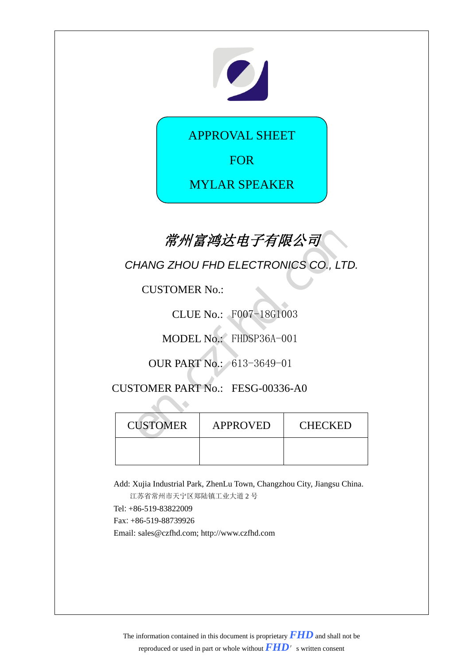

APPROVAL SHEET

FOR

MYLAR SPEAKER

# 常州富鸿达电子有限公司

| 常州富鸿达电子有限公司                          |                 |         |  |
|--------------------------------------|-----------------|---------|--|
| CHANG ZHOU FHD ELECTRONICS CO., LTD. |                 |         |  |
| <b>CUSTOMER No.:</b>                 |                 |         |  |
| CLUE No.: F007-18G1003               |                 |         |  |
| MODEL No.: FHDSP36A-001              |                 |         |  |
| <b>OUR PART No.: 613-3649-01</b>     |                 |         |  |
| CUSTOMER PART No.: FESG-00336-A0     |                 |         |  |
|                                      |                 |         |  |
| <b>CUSTOMER</b>                      | <b>APPROVED</b> | CHECKED |  |
|                                      |                 |         |  |

Add: Xujia Industrial Park, ZhenLu Town, Changzhou City, Jiangsu China.

江苏省常州市天宁区郑陆镇工业大道 2 号 Tel: +86-519-83822009 Fax: +86-519-88739926 Email: sales@czfhd.com; http://www.czfhd.com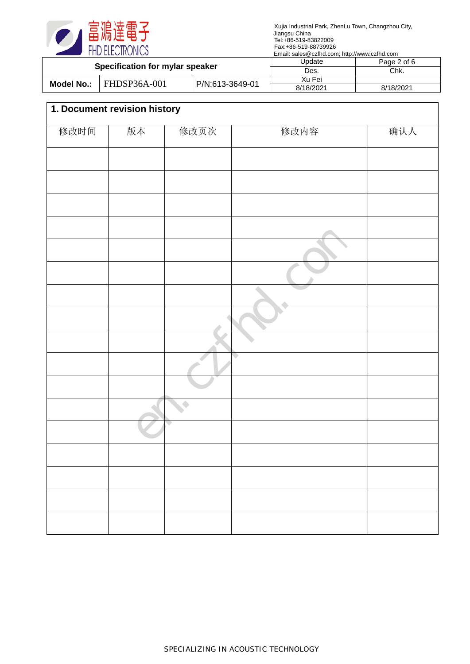

| Specification for mylar speaker |                     | Update          | Page 2 of 6 |           |
|---------------------------------|---------------------|-----------------|-------------|-----------|
|                                 |                     | Des.            | Chk.        |           |
|                                 | <b>FHDSP36A-001</b> |                 | Xu Fei      |           |
| Model No.:                      |                     | P/N:613-3649-01 | 8/18/2021   | 8/18/2021 |

# **1. Document revision history** 修改时间 版本 修改页次 修改内容 | 确认人 en.cz Com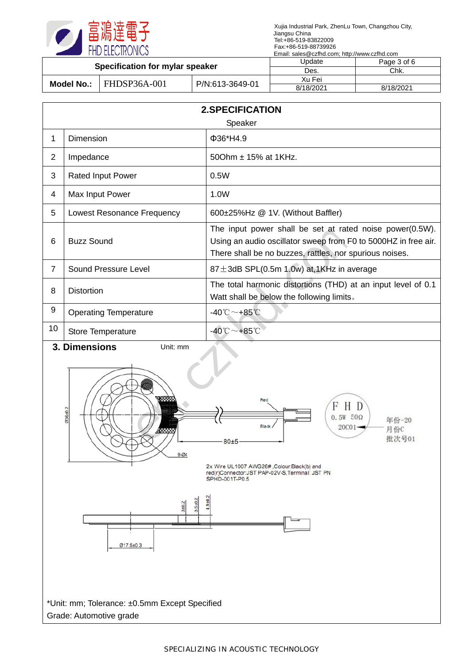

| Specification for mylar speaker |              | Jpdate          | Page 3 of 6 |           |
|---------------------------------|--------------|-----------------|-------------|-----------|
|                                 |              | Des.            | Chk.        |           |
| Model No.:                      | FHDSP36A-001 | P/N:613-3649-01 | Xu Fei      |           |
|                                 |              |                 | 8/18/2021   | 8/18/2021 |
|                                 |              |                 |             |           |

| <b>2.SPECIFICATION</b> |                              |                                                                                                                                                                                       |  |  |
|------------------------|------------------------------|---------------------------------------------------------------------------------------------------------------------------------------------------------------------------------------|--|--|
|                        |                              | Speaker                                                                                                                                                                               |  |  |
| 1                      | Dimension                    | Φ36*H4.9                                                                                                                                                                              |  |  |
| $\overline{2}$         | Impedance                    | 500hm ± 15% at 1KHz.                                                                                                                                                                  |  |  |
| 3                      | <b>Rated Input Power</b>     | 0.5W                                                                                                                                                                                  |  |  |
| $\overline{4}$         | Max Input Power              | 1.0W                                                                                                                                                                                  |  |  |
| 5                      | Lowest Resonance Frequency   | 600±25%Hz @ 1V. (Without Baffler)                                                                                                                                                     |  |  |
| 6                      | <b>Buzz Sound</b>            | The input power shall be set at rated noise power(0.5W).<br>Using an audio oscillator sweep from F0 to 5000HZ in free air.<br>There shall be no buzzes, rattles, nor spurious noises. |  |  |
| $\overline{7}$         | Sound Pressure Level         | $87 \pm 3$ dB SPL(0.5m 1.0w) at,1KHz in average                                                                                                                                       |  |  |
| 8                      | <b>Distortion</b>            | The total harmonic distortions (THD) at an input level of 0.1<br>Watt shall be below the following limits.                                                                            |  |  |
| 9                      | <b>Operating Temperature</b> | $-40^{\circ}$ C $\sim$ +85 $^{\circ}$ C                                                                                                                                               |  |  |
| 10                     | Store Temperature            | $-40^{\circ}$ C $\sim$ +85 $^{\circ}$ C                                                                                                                                               |  |  |
|                        | 3. Dimensions<br>Unit: mm    |                                                                                                                                                                                       |  |  |
|                        | 03610.2                      | Red<br>$0.5W$ 50 $\Omega$<br>年份-20<br>Black<br>20C01-<br>月份C<br>批次号01<br>80±5                                                                                                         |  |  |



2x Wire UL1007 AWG26#,Colour:Black(b) and<br>red(r)Connector:JST PAP-02V-S,Terminal: JST PN<br>SPHD-001T-P0.5



\*Unit: mm; Tolerance: ±0.5mm Except Specified Grade: Automotive grade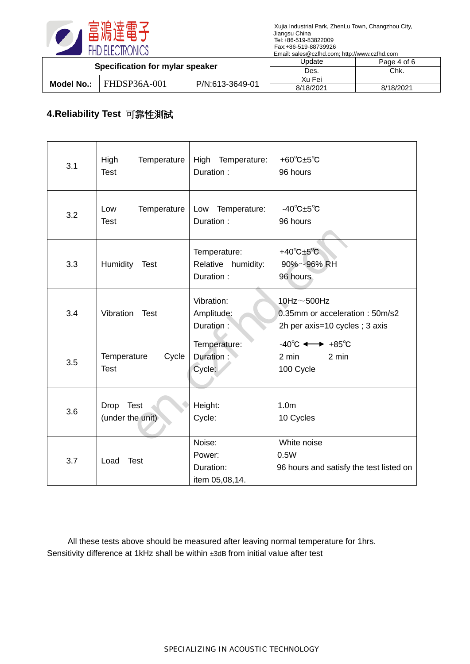

| Specification for mylar speaker |              | Update          | Page 4 of 6 |           |
|---------------------------------|--------------|-----------------|-------------|-----------|
|                                 |              | Des.            | Chk.        |           |
|                                 | FHDSP36A-001 |                 | Xu Fei      |           |
| <b>Model No.:</b>               |              | P/N:613-3649-01 | 8/18/2021   | 8/18/2021 |

### **4.Reliability Test** 可靠性測試

| 3.1 | High<br>Temperature<br><b>Test</b>  | High Temperature:<br>Duration:                  | +60 $^{\circ}$ C $\pm$ 5 $^{\circ}$ C<br>96 hours                                    |
|-----|-------------------------------------|-------------------------------------------------|--------------------------------------------------------------------------------------|
| 3.2 | Low<br>Temperature<br><b>Test</b>   | Low<br>Temperature:<br>Duration:                | $-40^{\circ}$ C $\pm 5^{\circ}$ C<br>96 hours                                        |
| 3.3 | Humidity Test                       | Temperature:<br>Relative humidity:<br>Duration: | $+40^{\circ}$ C $\pm 5^{\circ}$ C<br>$90\% \sim 96\%$ RH<br>96 hours                 |
| 3.4 | Vibration<br><b>Test</b>            | Vibration:<br>Amplitude:<br>Duration:           | 10Hz $\sim$ 500Hz<br>0.35mm or acceleration: 50m/s2<br>2h per axis=10 cycles; 3 axis |
| 3.5 | Cycle<br>Temperature<br><b>Test</b> | Temperature:<br>Duration:<br>Cycle:             | $-40^{\circ}$ C $\longleftrightarrow$ $+85^{\circ}$ C<br>2 min<br>2 min<br>100 Cycle |
| 3.6 | Drop Test<br>(under the unit)       | Height:<br>Cycle:                               | 1.0 <sub>m</sub><br>10 Cycles                                                        |
| 3.7 | <b>Test</b><br>Load                 | Noise:<br>Power:<br>Duration:<br>item 05,08,14. | White noise<br>0.5W<br>96 hours and satisfy the test listed on                       |

All these tests above should be measured after leaving normal temperature for 1hrs. Sensitivity difference at 1kHz shall be within ±3dB from initial value after test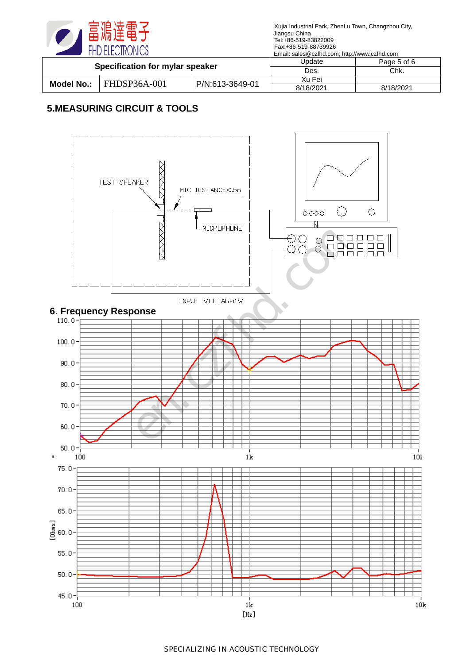

| Specification for mylar speaker |              | Update          | Page 5 of 6 |           |
|---------------------------------|--------------|-----------------|-------------|-----------|
|                                 |              | Des.            | Chk.        |           |
|                                 | FHDSP36A-001 |                 | Xu Fei      |           |
| Model No.:                      |              | P/N:613-3649-01 | 8/18/2021   | 8/18/2021 |

## **5.MEASURING CIRCUIT & TOOLS**